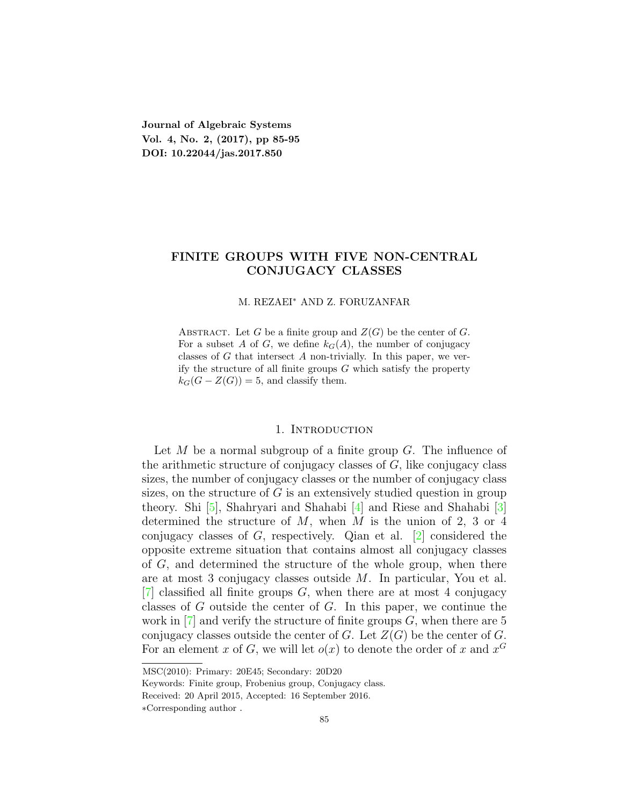**Journal of Algebraic Systems Vol. 4, No. 2, (2017), pp 85-95 DOI: 10.22044/jas.2017.850**

# **FINITE GROUPS WITH FIVE NON-CENTRAL CONJUGACY CLASSES**

## M. REZAEI*<sup>∗</sup>* AND Z. FORUZANFAR

ABSTRACT. Let *G* be a finite group and  $Z(G)$  be the center of *G*. For a subset *A* of *G*, we define  $k_G(A)$ , the number of conjugacy classes of *G* that intersect *A* non-trivially. In this paper, we verify the structure of all finite groups *G* which satisfy the property  $k_G(G - Z(G)) = 5$ , and classify them.

#### 1. INTRODUCTION

Let *M* be a normal subgroup of a finite group *G*. The influence of the arithmetic structure of conjugacy classes of *G*, like conjugacy class sizes, the number of conjugacy classes or the number of conjugacy class sizes, on the structure of *G* is an extensively studied question in group theory. Shi [[5](#page-10-0)], Shahryari and Shahabi [[4](#page-10-1)] and Riese and Shahabi [\[3\]](#page-10-2) determined the structure of *M*, when *M* is the union of 2, 3 or 4 conjugacy classes of *G*, respectively. Qian et al. [[2\]](#page-10-3) considered the opposite extreme situation that contains almost all conjugacy classes of *G*, and determined the structure of the whole group, when there are at most 3 conjugacy classes outside *M*. In particular, You et al. [[7\]](#page-10-4) classified all finite groups *G*, when there are at most 4 conjugacy classes of *G* outside the center of *G*. In this paper, we continue the work in [[7\]](#page-10-4) and verify the structure of finite groups *G*, when there are 5 conjugacy classes outside the center of  $G$ . Let  $Z(G)$  be the center of  $G$ . For an element *x* of *G*, we will let  $o(x)$  to denote the order of *x* and  $x^G$ 

MSC(2010): Primary: 20E45; Secondary: 20D20

Keywords: Finite group, Frobenius group, Conjugacy class.

Received: 20 April 2015, Accepted: 16 September 2016.

*<sup>∗</sup>*Corresponding author .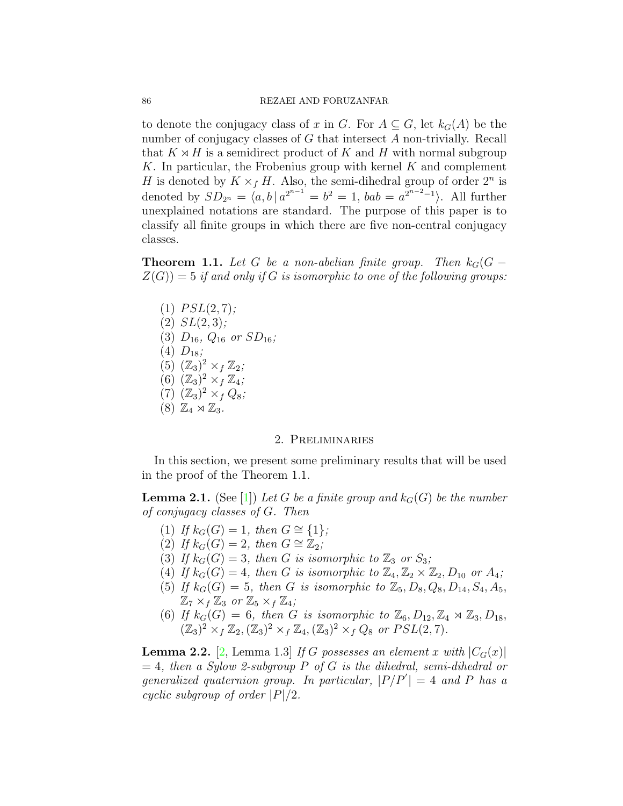to denote the conjugacy class of *x* in *G*. For  $A \subseteq G$ , let  $k_G(A)$  be the number of conjugacy classes of *G* that intersect *A* non-trivially. Recall that  $K \rtimes H$  is a semidirect product of  $K$  and  $H$  with normal subgroup *K*. In particular, the Frobenius group with kernel *K* and complement *H* is denoted by  $K \times_f H$ . Also, the semi-dihedral group of order  $2^n$  is denoted by  $SD_{2^n} = \langle a, b \, | \, a^{2^{n-1}} = b^2 = 1, \, bab = a^{2^{n-2}-1} \rangle$ . All further unexplained notations are standard. The purpose of this paper is to classify all finite groups in which there are five non-central conjugacy classes.

<span id="page-1-2"></span>**Theorem 1.1.** Let G be a non-abelian finite group. Then  $k_G(G Z(G)$ ) = 5 *if and only if G is isomorphic to one of the following groups:* 

 $(1)$  *PSL* $(2, 7)$ *;* (2) *SL*(2*,* 3)*;*  $(3)$   $D_{16}$ *,*  $Q_{16}$  *or*  $SD_{16}$ *;*  $(4)$   $D_{18}$ ; (5)  $(\mathbb{Z}_3)^2 \times_f \mathbb{Z}_2$ ; (6)  $(\mathbb{Z}_3)^2 \times_f \mathbb{Z}_4$ ;  $(7)$   $(\mathbb{Z}_3)^2 \times_f Q_8$ ;  $(8)$   $\mathbb{Z}_4 \rtimes \mathbb{Z}_3$ .

### 2. Preliminaries

In this section, we present some preliminary results that will be used in the proof of the Theorem 1.1.

<span id="page-1-0"></span>**Lemma 2.1.** (See [\[1\]](#page-10-5)) Let *G* be a finite group and  $k_G(G)$  be the number *of conjugacy classes of G. Then*

- $(1)$  *If*  $k_G(G) = 1$ *, then*  $G \cong \{1\}$ *;*
- (2) *If*  $k_G(G) = 2$ *, then*  $G \cong \mathbb{Z}_2$ *;*
- (3) If  $k_G(G) = 3$ , then G is isomorphic to  $\mathbb{Z}_3$  or  $S_3$ ;
- (4) If  $k_G(G) = 4$ , then G is isomorphic to  $\mathbb{Z}_4, \mathbb{Z}_2 \times \mathbb{Z}_2, D_{10}$  or  $A_4$ ;
- (5) If  $k_G(G) = 5$ , then *G* is isomorphic to  $\mathbb{Z}_5$ ,  $D_8$ ,  $Q_8$ ,  $D_{14}$ ,  $S_4$ ,  $A_5$ ,  $\mathbb{Z}_7 \times_f \mathbb{Z}_3$  or  $\mathbb{Z}_5 \times_f \mathbb{Z}_4$ ;
- (6) If  $k_G(G) = 6$ , then *G* is isomorphic to  $\mathbb{Z}_6$ ,  $D_{12}, \mathbb{Z}_4 \rtimes \mathbb{Z}_3$ ,  $D_{18}$ *,*  $(\mathbb{Z}_3)^2 \times_f \mathbb{Z}_2$ ,  $(\mathbb{Z}_3)^2 \times_f \mathbb{Z}_4$ ,  $(\mathbb{Z}_3)^2 \times_f Q_8$  *or*  $PSL(2,7)$ *.*

<span id="page-1-1"></span>**Lemma 2.2.** [\[2](#page-10-3), Lemma 1.3] *If G* possesses an element *x* with  $|C_G(x)|$ = 4*, then a Sylow 2-subgroup P of G is the dihedral, semi-dihedral or generalized quaternion group. In particular,*  $|P/P'| = 4$  *and P has a cyclic subgroup of order |P|/*2*.*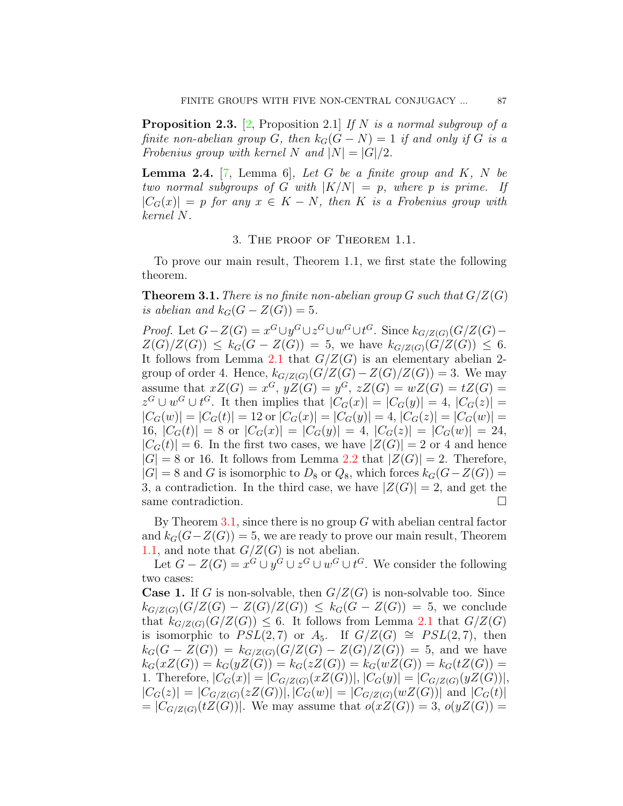<span id="page-2-1"></span>**Proposition 2.3.** [\[2](#page-10-3), Proposition 2.1] *If N is a normal subgroup of a finite non-abelian group G, then*  $k_G(G - N) = 1$  *if and only if G is a Frobenius group with kernel*  $N$  *and*  $|N| = |G|/2$ .

<span id="page-2-2"></span>**Lemma 2.4.** [\[7](#page-10-4), Lemma 6], Let G be a finite group and  $K$ ,  $N$  be *two normal subgroups of G with*  $|K/N| = p$ *, where p is prime.* If  $|C_G(x)| = p$  *for any*  $x \in K - N$ *, then K is a Frobenius group with kernel N.*

## 3. The proof of Theorem 1.1.

To prove our main result, Theorem 1.1, we first state the following theorem.

<span id="page-2-0"></span>**Theorem 3.1.** *There is no finite non-abelian group*  $G$  *such that*  $G/Z(G)$ *is abelian and*  $k_G(G - Z(G)) = 5$ *.* 

*Proof.* Let  $G-Z(G) = x^G \cup y^G \cup z^G \cup w^G \cup t^G$ . Since  $k_{G/Z(G)}(G/Z(G))$  $Z(G)/Z(G)) \leq k_G(G - Z(G)) = 5$ , we have  $k_{G/Z(G)}(G/Z(G)) \leq 6$ . It follows from Lemma [2.1](#page-1-0) that  $G/Z(G)$  is an elementary abelian 2group of order 4. Hence,  $k_{G/Z(G)}(G/Z(G)-Z(G)/Z(G))=3$ . We may assume that  $xZ(G) = x^G$ ,  $yZ(G) = y^G$ ,  $zZ(G) = wZ(G) = tZ(G) =$  $z^G \cup w^G \cup t^G$ . It then implies that  $|C_G(x)| = |C_G(y)| = 4$ ,  $|C_G(z)| =$  $|C_G(w)| = |C_G(t)| = 12$  or  $|C_G(x)| = |C_G(y)| = 4$ ,  $|C_G(z)| = |C_G(w)| =$ 16,  $|C_G(t)| = 8$  or  $|C_G(x)| = |C_G(y)| = 4$ ,  $|C_G(z)| = |C_G(w)| = 24$ ,  $|C_G(t)| = 6$ . In the first two cases, we have  $|Z(G)| = 2$  or 4 and hence  $|G| = 8$  or 16. It follows from Lemma [2.2](#page-1-1) that  $|Z(G)| = 2$ . Therefore,  $|G| = 8$  and *G* is isomorphic to *D*<sub>8</sub> or  $Q_8$ , which forces  $k_G(G - Z(G))$  = 3, a contradiction. In the third case, we have  $|Z(G)| = 2$ , and get the same contradiction.  $\Box$ 

By Theorem [3.1](#page-2-0), since there is no group *G* with abelian central factor and  $k_G(G-Z(G)) = 5$ , we are ready to prove our main result, Theorem [1.1](#page-1-2), and note that  $G/Z(G)$  is not abelian.

Let  $G - Z(G) = x^G \cup y^G \cup z^G \cup w^G \cup t^G$ . We consider the following two cases:

**Case 1.** If *G* is non-solvable, then  $G/Z(G)$  is non-solvable too. Since  $k_{G/Z(G)}(G/Z(G) - Z(G)/Z(G)) \leq k_G(G - Z(G)) = 5$ , we conclude that  $k_{G/Z(G)}(G/Z(G)) \leq 6$ . It follows from Lemma [2.1](#page-1-0) that  $G/Z(G)$ is isomorphic to  $PSL(2,7)$  or  $A_5$ . If  $G/Z(G) \cong PSL(2,7)$ , then  $k_G(G - Z(G)) = k_{G/Z(G)}(G/Z(G) - Z(G)/Z(G)) = 5$ , and we have  $k_G(xZ(G)) = k_G(yZ(G)) = k_G(zZ(G)) = k_G(wZ(G)) = k_G(tZ(G)) = k_G(z(G))$ 1. Therefore,  $|C_G(x)| = |C_{G/Z(G)}(xZ(G))|, |C_G(y)| = |C_{G/Z(G)}(yZ(G))|,$  $|C_G(z)| = |C_{G/Z(G)}(zZ(G))|, |C_G(w)| = |C_{G/Z(G)}(wZ(G))|$  and  $|C_G(t)|$  $|C_{G/Z(G)}(tZ(G))|$ . We may assume that  $o(xZ(G)) = 3$ ,  $o(yZ(G)) = 3$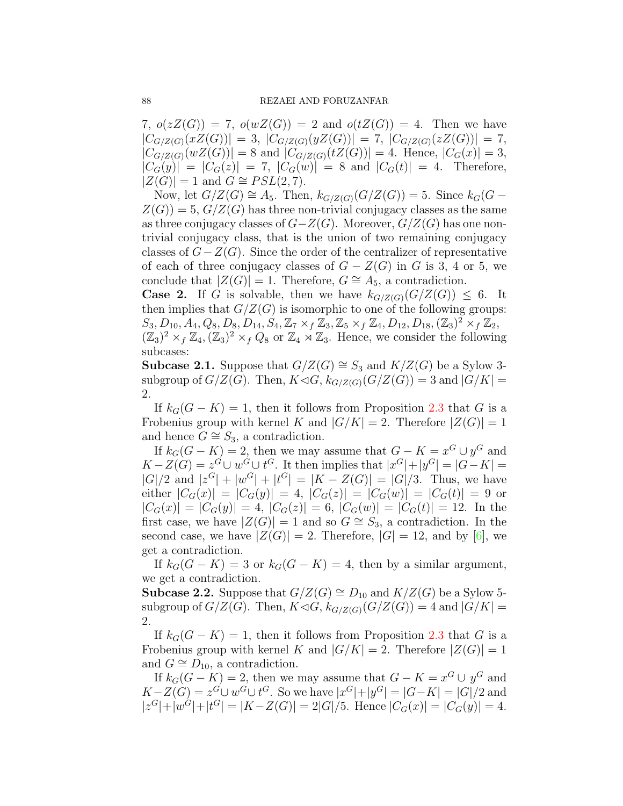7,  $o(zZ(G)) = 7$ ,  $o(wZ(G)) = 2$  and  $o(tZ(G)) = 4$ . Then we have  $|C_{G/Z(G)}(xZ(G))| = 3, |C_{G/Z(G)}(yZ(G))| = 7, |C_{G/Z(G)}(zZ(G))| = 7,$  $|C_{G/Z(G)}(wZ(G))| = 8$  and  $|C_{G/Z(G)}(tZ(G))| = 4$ . Hence,  $|C_G(x)| = 3$ ,  $|C_G(y)| = |C_G(z)| = 7$ ,  $|C_G(w)| = 8$  and  $|C_G(t)| = 4$ . Therefore,  $|Z(G)| = 1$  and  $G ≅ PSL(2, 7)$ .

Now, let *G*/*Z*(*G*)  $\cong$  *A*<sub>5</sub>. Then,  $k_{G/Z(G)}(G/Z(G)) = 5$ . Since  $k_G(G Z(G)$ ) = 5,  $G/Z(G)$  has three non-trivial conjugacy classes as the same as three conjugacy classes of *G−Z*(*G*). Moreover, *G/Z*(*G*) has one nontrivial conjugacy class, that is the union of two remaining conjugacy classes of *G−Z*(*G*). Since the order of the centralizer of representative of each of three conjugacy classes of  $G - Z(G)$  in  $G$  is 3, 4 or 5, we conclude that  $|Z(G)| = 1$ . Therefore,  $G \cong A_5$ , a contradiction.

**Case 2.** If *G* is solvable, then we have  $k_{G/Z(G)}(G/Z(G)) \leq 6$ . It then implies that  $G/Z(G)$  is isomorphic to one of the following groups:  $S_3, D_{10}, A_4, Q_8, D_8, D_{14}, S_4, \mathbb{Z}_7 \times_f \mathbb{Z}_3, \mathbb{Z}_5 \times_f \mathbb{Z}_4, D_{12}, D_{18}, (\mathbb{Z}_3)^2 \times_f \mathbb{Z}_2,$  $(\mathbb{Z}_3)^2 \times_f \mathbb{Z}_4$ ,  $(\mathbb{Z}_3)^2 \times_f Q_8$  or  $\mathbb{Z}_4 \rtimes \mathbb{Z}_3$ . Hence, we consider the following subcases:

**Subcase 2.1.** Suppose that *G*/*Z*(*G*)  $\cong$  *S*<sub>3</sub> and *K*/*Z*(*G*) be a Sylow 3subgroup of  $G/Z(G)$ . Then,  $K \lhd G$ ,  $k_{G/Z(G)}(G/Z(G)) = 3$  and  $|G/K| =$ 2.

If  $k_G(G - K) = 1$ , then it follows from Proposition [2.3](#page-2-1) that *G* is a Frobenius group with kernel *K* and  $|G/K| = 2$ . Therefore  $|Z(G)| = 1$ and hence  $G \cong S_3$ , a contradiction.

If  $k_G(G - K) = 2$ , then we may assume that  $G - K = x^G \cup y^G$  and  $K-Z(G)=z^G\cup w^G\cup t^G$ . It then implies that  $|x^G|+|y^G|=|G-K|=$  $|G|/2$  and  $|z^G| + |w^G| + |t^G| = |K - Z(G)| = |G|/3$ . Thus, we have either  $|C_G(x)| = |C_G(y)| = 4$ ,  $|C_G(z)| = |C_G(w)| = |C_G(t)| = 9$  or  $|C_G(x)| = |C_G(y)| = 4, |C_G(z)| = 6, |C_G(w)| = |C_G(t)| = 12.$  In the first case, we have  $|Z(G)| = 1$  and so  $G \cong S_3$ , a contradiction. In the second case, we have  $|Z(G)| = 2$ . Therefore,  $|G| = 12$ , and by [[6\]](#page-10-6), we get a contradiction.

If  $k_G(G - K) = 3$  or  $k_G(G - K) = 4$ , then by a similar argument, we get a contradiction.

**Subcase 2.2.** Suppose that *G*/*Z*(*G*)  $\cong$  *D*<sub>10</sub> and *K*/*Z*(*G*) be a Sylow 5subgroup of  $G/Z(G)$ . Then,  $K \lhd G$ ,  $k_{G/Z(G)}(G/Z(G)) = 4$  and  $|G/K| =$ 2.

If  $k_G(G - K) = 1$ , then it follows from Proposition [2.3](#page-2-1) that *G* is a Frobenius group with kernel *K* and  $|G/K| = 2$ . Therefore  $|Z(G)| = 1$ and  $G \cong D_{10}$ , a contradiction.

If  $k_G(G - K) = 2$ , then we may assume that  $G - K = x^G \cup y^G$  and  $K-Z(G) = z^G \cup w^G \cup t^G$ . So we have  $|x^G|+|y^G| = |G-K| = |G|/2$  and  $|z^G|+|w^G|+|t^G|=|K-Z(G)|=2|G|/5.$  Hence  $|C_G(x)|=|C_G(y)|=4.$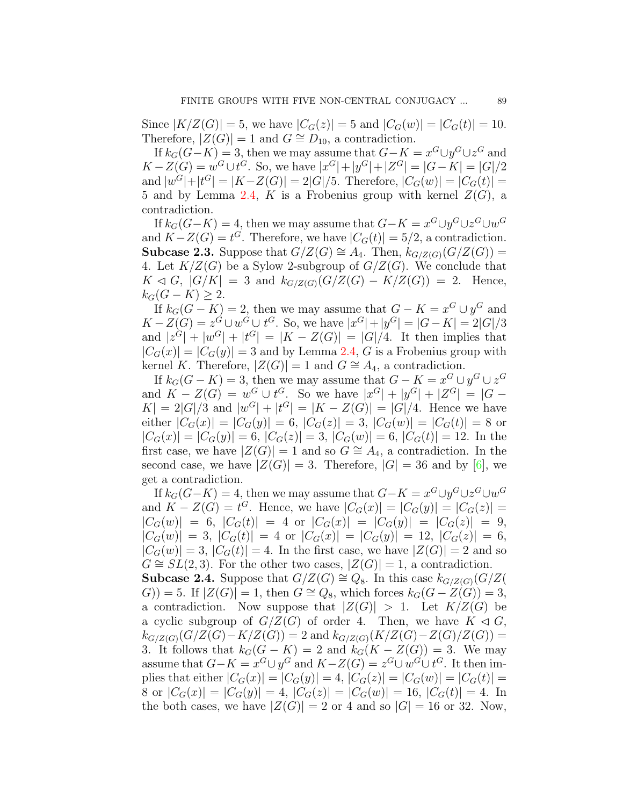Since  $|K/Z(G)| = 5$ , we have  $|C_G(z)| = 5$  and  $|C_G(w)| = |C_G(t)| = 10$ . Therefore,  $|Z(G)| = 1$  and  $G \cong D_{10}$ , a contradiction.

If  $k_G(G-K) = 3$ , then we may assume that  $G-K = x^G \cup y^G \cup z^G$  and  $K - Z(G) = w^G \cup t^G$ . So, we have  $|x^G| + |y^G| + |Z^G| = |G - K| = |G|/2$ and  $|w^G|+|t^G|=|K-Z(G)|=2|G|/5$ . Therefore,  $|C_G(w)|=|C_G(t)|=$ 5 and by Lemma [2.4](#page-2-2), *K* is a Frobenius group with kernel  $Z(G)$ , a contradiction.

If  $k_G(G-K) = 4$ , then we may assume that  $G-K = x^G \cup y^G \cup z^G \cup w^G$ and  $K - Z(G) = t^G$ . Therefore, we have  $|C_G(t)| = 5/2$ , a contradiction. **Subcase 2.3.** Suppose that *G*/*Z*(*G*)  $\cong$  *A*<sub>4</sub>. Then,  $k$ <sup>*G*</sup>/*Z*(*G*)(*G*/*Z*(*G*)) = 4. Let  $K/Z(G)$  be a Sylow 2-subgroup of  $G/Z(G)$ . We conclude that *K* ⊲ *G*,  $|G/K| = 3$  and  $k_{G/Z(G)}(G/Z(G) - K/Z(G)) = 2$ . Hence,  $k_G(G − K) ≥ 2.$ 

If  $k_G(G - K) = 2$ , then we may assume that  $G - K = x^G \cup y^G$  and  $K - Z(G) = z^G \cup w^G \cup t^G$ . So, we have  $|x^G| + |y^G| = |G - K| = 2|G|/3$  $|z^G| + |w^G| + |t^G| = |K - Z(G)| = |G|/4$ . It then implies that  $|C_G(x)| = |C_G(y)| = 3$  and by Lemma [2.4,](#page-2-2) *G* is a Frobenius group with kernel *K*. Therefore,  $|Z(G)| = 1$  and  $G \cong A_4$ , a contradiction.

If  $k_G(G - K) = 3$ , then we may assume that  $G - K = x^G \cup y^G \cup z^G$ and  $K - Z(G) = w^G \cup t^G$ . So we have  $|x^G| + |y^G| + |Z^G| = |G |K| = 2|G|/3$  and  $|w^G| + |t^G| = |K - Z(G)| = |G|/4$ . Hence we have either  $|C_G(x)| = |C_G(y)| = 6$ ,  $|C_G(z)| = 3$ ,  $|C_G(w)| = |C_G(t)| = 8$  or  $|C_G(x)| = |C_G(y)| = 6$ ,  $|C_G(z)| = 3$ ,  $|C_G(w)| = 6$ ,  $|C_G(t)| = 12$ . In the first case, we have  $|Z(G)| = 1$  and so  $G \cong A_4$ , a contradiction. In the second case, we have  $|Z(G)| = 3$ . Therefore,  $|G| = 36$  and by [[6\]](#page-10-6), we get a contradiction.

If  $k_G(G-K) = 4$ , then we may assume that  $G-K = x^G \cup y^G \cup z^G \cup w^G$ and  $K - Z(G) = t^G$ . Hence, we have  $|C_G(x)| = |C_G(y)| = |C_G(z)| =$  $|C_G(w)| = 6, |C_G(t)| = 4 \text{ or } |C_G(x)| = |C_G(y)| = |C_G(z)| = 9,$  $|C_G(w)| = 3, |C_G(t)| = 4 \text{ or } |C_G(x)| = |C_G(y)| = 12, |C_G(z)| = 6,$  $|C_G(w)| = 3$ ,  $|C_G(t)| = 4$ . In the first case, we have  $|Z(G)| = 2$  and so *G*  $\cong$  *SL*(2,3). For the other two cases,  $|Z(G)| = 1$ , a contradiction.

**Subcase 2.4.** Suppose that *G*/*Z*(*G*)  $\cong Q_8$ . In this case  $k_{G/Z(G)}(G/Z(G))$ *G*)) = 5. If  $|Z(G)| = 1$ , then *G*  $\cong Q_8$ , which forces  $k_G(G − Z(G)) = 3$ , a contradiction. Now suppose that  $|Z(G)| > 1$ . Let  $K/Z(G)$  be a cyclic subgroup of  $G/Z(G)$  of order 4. Then, we have  $K \triangleleft G$ ,  $k_{G/Z(G)}(G/Z(G) - K/Z(G)) = 2$  and  $k_{G/Z(G)}(K/Z(G) - Z(G)/Z(G)) =$ 3. It follows that  $k_G(G - K) = 2$  and  $k_G(K - Z(G)) = 3$ . We may assume that  $G$ − $K = x^G \cup y^G$  and  $K - Z(G) = z^G \cup w^G \cup t^G$ . It then implies that either  $|C_G(x)| = |C_G(y)| = 4$ ,  $|C_G(z)| = |C_G(w)| = |C_G(t)| =$ 8 or  $|C_G(x)| = |C_G(y)| = 4$ ,  $|C_G(z)| = |C_G(w)| = 16$ ,  $|C_G(t)| = 4$ . In the both cases, we have  $|Z(G)| = 2$  or 4 and so  $|G| = 16$  or 32. Now,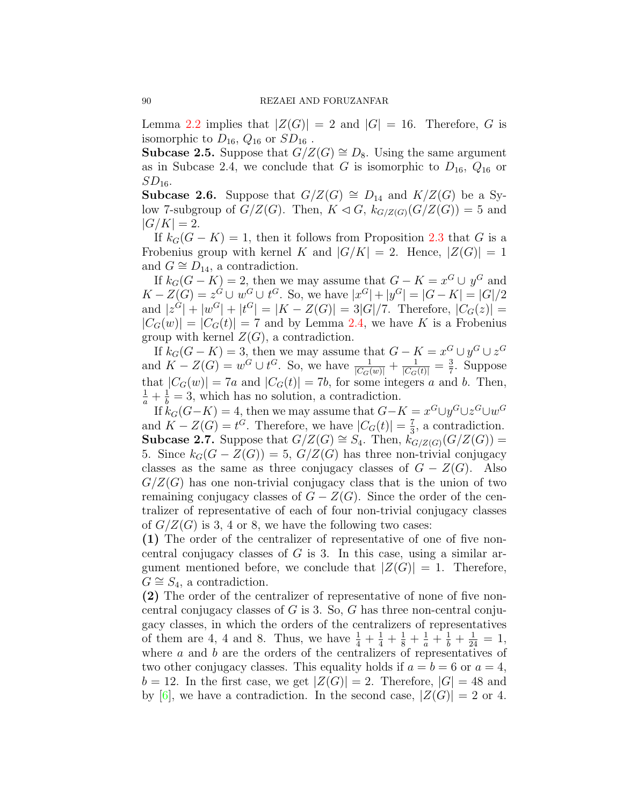Lemma [2.2](#page-1-1) implies that  $|Z(G)| = 2$  and  $|G| = 16$ . Therefore, *G* is isomorphic to  $D_{16}$ ,  $Q_{16}$  or  $SD_{16}$ .

**Subcase 2.5.** Suppose that  $G/Z(G) \cong D_8$ . Using the same argument as in Subcase 2.4, we conclude that *G* is isomorphic to  $D_{16}$ ,  $Q_{16}$  or *SD*16.

**Subcase 2.6.** Suppose that *G/Z*(*G*)  $\cong$  *D*<sub>14</sub> and *K/Z*(*G*) be a Sylow 7-subgroup of  $G/Z(G)$ . Then,  $K \lhd G$ ,  $k_{G/Z(G)}(G/Z(G)) = 5$  and  $|G/K| = 2.$ 

If  $k_G(G - K) = 1$ , then it follows from Proposition [2.3](#page-2-1) that *G* is a Frobenius group with kernel *K* and  $|G/K| = 2$ . Hence,  $|Z(G)| = 1$ and  $G \cong D_{14}$ , a contradiction.

If  $k_G(G - K) = 2$ , then we may assume that  $G - K = x^G \cup y^G$  and  $K - Z(G) = z^G \cup w^G \cup t^G$ . So, we have  $|x^G| + |y^G| = |G - K| = |G|/2$ and  $|z^G| + |w^G| + |t^G| = |K - Z(G)| = 3|G|/7$ . Therefore,  $|C_G(z)| =$  $|C_G(w)| = |C_G(t)| = 7$  and by Lemma [2.4](#page-2-2), we have *K* is a Frobenius group with kernel  $Z(G)$ , a contradiction.

If  $k_G(G - K) = 3$ , then we may assume that  $G - K = x^G \cup y^G \cup z^G$ and  $K - Z(G) = w^G \cup t^G$ . So, we have  $\frac{1}{|C_G(w)|} + \frac{1}{|C_G(t)|} = \frac{3}{7}$  $\frac{3}{7}$ . Suppose that  $|C_G(w)| = 7a$  and  $|C_G(t)| = 7b$ , for some integers *a* and *b*. Then,  $\frac{1}{a} + \frac{1}{b} = 3$ , which has no solution, a contradiction.

If  $k_G(G-K) = 4$ , then we may assume that  $G-K = x^G \cup y^G \cup z^G \cup w^G$ and  $K - Z(G) = t^G$ . Therefore, we have  $|C_G(t)| = \frac{7}{3}$  $\frac{7}{3}$ , a contradiction. **Subcase 2.7.** Suppose that  $G/Z(G) \cong S_4$ . Then,  $k_{G/Z(G)}(G/Z(G))$  = 5. Since  $k_G(G - Z(G)) = 5$ ,  $G/Z(G)$  has three non-trivial conjugacy classes as the same as three conjugacy classes of  $G - Z(G)$ . Also  $G/Z(G)$  has one non-trivial conjugacy class that is the union of two remaining conjugacy classes of  $G - Z(G)$ . Since the order of the centralizer of representative of each of four non-trivial conjugacy classes of  $G/Z(G)$  is 3, 4 or 8, we have the following two cases:

**(1)** The order of the centralizer of representative of one of five noncentral conjugacy classes of *G* is 3. In this case, using a similar argument mentioned before, we conclude that  $|Z(G)| = 1$ . Therefore,  $G \cong S_4$ , a contradiction.

**(2)** The order of the centralizer of representative of none of five noncentral conjugacy classes of *G* is 3. So, *G* has three non-central conjugacy classes, in which the orders of the centralizers of representatives of them are 4, 4 and 8. Thus, we have  $\frac{1}{4} + \frac{1}{4} + \frac{1}{8} + \frac{1}{8} + \frac{1}{24} + \frac{1}{24} = 1$ , where *a* and *b* are the orders of the centralizers of representatives of two other conjugacy classes. This equality holds if  $a = b = 6$  or  $a = 4$ ,  $b = 12$ . In the first case, we get  $|Z(G)| = 2$ . Therefore,  $|G| = 48$  and by  $[6]$  $[6]$  $[6]$ , we have a contradiction. In the second case,  $|Z(G)| = 2$  or 4.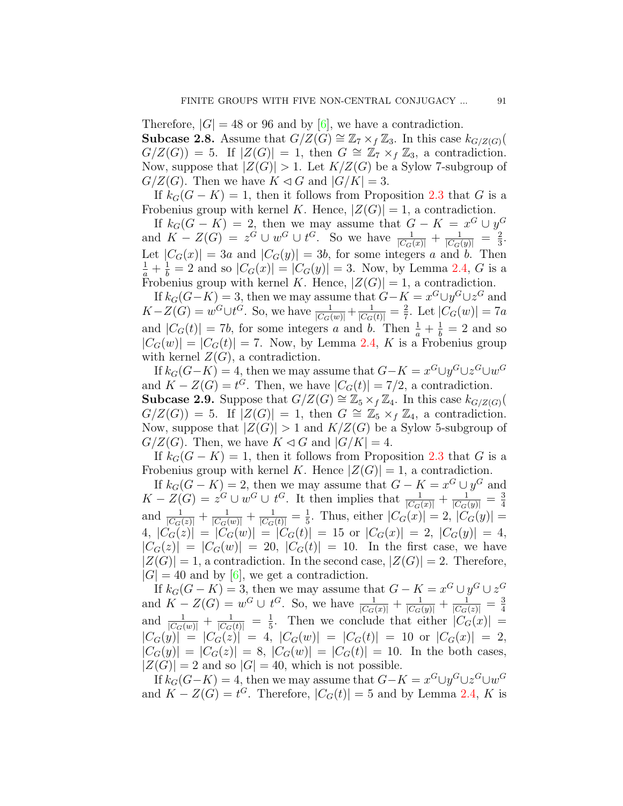Therefore,  $|G| = 48$  or 96 and by [\[6](#page-10-6)], we have a contradiction. **Subcase 2.8.** Assume that  $G/Z(G) \cong \mathbb{Z}_7 \times_f \mathbb{Z}_3$ . In this case  $k_{G/Z(G)}($  $G/Z(G) = 5$ . If  $|Z(G)| = 1$ , then  $G \cong \mathbb{Z}_7 \times_f \mathbb{Z}_3$ , a contradiction. Now, suppose that  $|Z(G)| > 1$ . Let  $K/Z(G)$  be a Sylow 7-subgroup of  $G/Z(G)$ . Then we have  $K \lhd G$  and  $|G/K| = 3$ .

If  $k_G(G - K) = 1$ , then it follows from Proposition [2.3](#page-2-1) that *G* is a Frobenius group with kernel *K*. Hence,  $|Z(G)| = 1$ , a contradiction.

If  $k_G(G - K) = 2$ , then we may assume that  $G - K = x^G \cup y^G$ and  $K - Z(G) = z^G \cup w^G \cup t^G$ . So we have  $\frac{1}{|C_G(x)|} + \frac{1}{|C_G(y)|} = \frac{2}{3}$  $\frac{2}{3}$ . Let  $|C_G(x)| = 3a$  and  $|C_G(y)| = 3b$ , for some integers *a* and *b*. Then  $\frac{1}{a} + \frac{1}{b} = 2$  and so  $|C_G(x)| = |C_G(y)| = 3$ . Now, by Lemma [2.4](#page-2-2), *G* is a Frobenius group with kernel *K*. Hence,  $|Z(G)| = 1$ , a contradiction.

If  $k_G(G-K) = 3$ , then we may assume that  $G-K = x^G \cup y^G \cup z^G$  and  $K-Z(G) = w^G \cup t^G$ . So, we have  $\frac{1}{|C_G(w)|} + \frac{1}{|C_G(t)|} = \frac{2}{7}$  $\frac{2}{7}$ . Let  $|C_G(w)| = 7a$ and  $|C_G(t)| = 7b$ , for some integers *a* and *b*. Then  $\frac{1}{a} + \frac{1}{b} = 2$  and so  $|C_G(w)| = |C_G(t)| = 7$ . Now, by Lemma [2.4](#page-2-2), *K* is a Frobenius group with kernel  $Z(G)$ , a contradiction.

If  $k_G(G-K) = 4$ , then we may assume that  $G-K = x^G \cup y^G \cup z^G \cup w^G$ and  $K - Z(G) = t^G$ . Then, we have  $|C_G(t)| = 7/2$ , a contradiction. **Subcase 2.9.** Suppose that  $G/Z(G) \cong \mathbb{Z}_5 \times_f \mathbb{Z}_4$ . In this case  $k_{G/Z(G)}($  $G/Z(G) = 5$ . If  $|Z(G)| = 1$ , then  $G \cong \mathbb{Z}_5 \times_f \mathbb{Z}_4$ , a contradiction. Now, suppose that  $|Z(G)| > 1$  and  $K/Z(G)$  be a Sylow 5-subgroup of  $G/Z(G)$ . Then, we have  $K \lhd G$  and  $|G/K| = 4$ .

If  $k_G(G - K) = 1$ , then it follows from Proposition [2.3](#page-2-1) that G is a Frobenius group with kernel *K*. Hence  $|Z(G)| = 1$ , a contradiction.

If  $k_G(G - K) = 2$ , then we may assume that  $G - K = x^G \cup y^G$  and  $K - Z(G) = z^G \cup w^G \cup t^G$ . It then implies that  $\frac{1}{|C_G(x)|} + \frac{1}{|C_G(y)|} = \frac{3}{4}$ 4 and  $\frac{1}{|C_G(z)|} + \frac{1}{|C_G(w)|} + \frac{1}{|C_G(t)|} = \frac{1}{5}$  $\frac{1}{5}$ . Thus, either  $|C_G(x)| = 2$ ,  $|C_G(y)| = 1$ 4,  $|\dot{C}_G(z)| = |\dot{C}_G(w)| = |\dot{C}_G(t)| = 15$  or  $|C_G(x)| = 2$ ,  $|C_G(y)| = 4$ ,  $|C_G(z)| = |C_G(w)| = 20$ ,  $|C_G(t)| = 10$ . In the first case, we have  $|Z(G)| = 1$ , a contradiction. In the second case,  $|Z(G)| = 2$ . Therefore,  $|G| = 40$  and by [[6\]](#page-10-6), we get a contradiction.

If  $k_G(G - K) = 3$ , then we may assume that  $G - K = x^G \cup y^G \cup z^G$ and  $K - Z(G) = w^G \cup t^G$ . So, we have  $\frac{1}{|C_G(x)|} + \frac{1}{|C_G(y)|} + \frac{1}{|C_G(z)|} = \frac{3}{4}$ 4 and  $\frac{1}{|C_G(w)|} + \frac{1}{|C_G(t)|} = \frac{1}{5}$  $\frac{1}{5}$ . Then we conclude that either  $|C_G(x)| =$  $|C_G(y)| = |C_G(z)| = 4$ ,  $|C_G(w)| = |C_G(t)| = 10$  or  $|C_G(x)| = 2$ ,  $|C_G(y)| = |C_G(z)| = 8$ ,  $|C_G(w)| = |C_G(t)| = 10$ . In the both cases,  $|Z(G)| = 2$  and so  $|G| = 40$ , which is not possible.

If  $k_G(G-K) = 4$ , then we may assume that  $G-K = x^G \cup y^G \cup z^G \cup w^G$ and  $K - Z(G) = t^G$ . Therefore,  $|C_G(t)| = 5$  and by Lemma [2.4,](#page-2-2) *K* is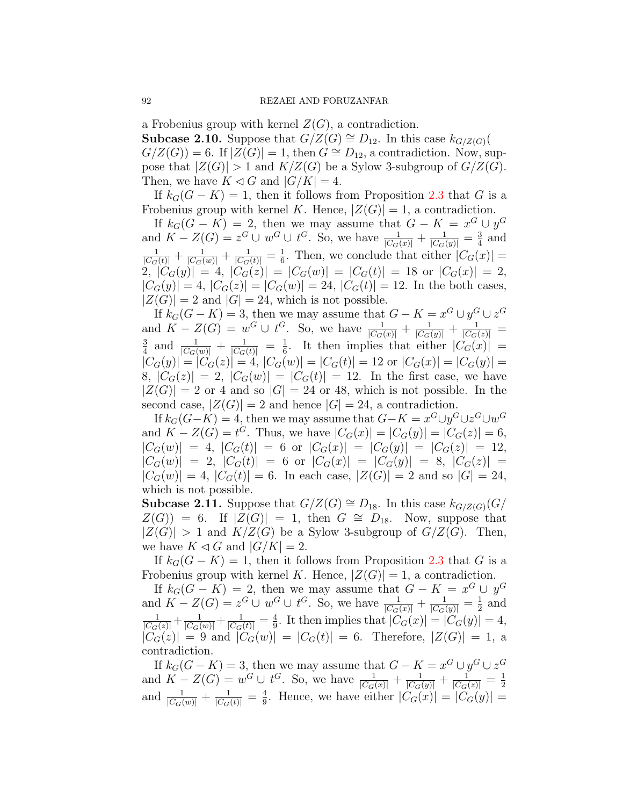a Frobenius group with kernel  $Z(G)$ , a contradiction.

**Subcase 2.10.** Suppose that *G*/*Z*(*G*)  $\cong$  *D*<sub>12</sub>. In this case *k<sub>G/Z(<i>G*)</sub>(  $G/Z(G)$  = 6. If  $|Z(G)| = 1$ , then  $G \cong D_{12}$ , a contradiction. Now, suppose that  $|Z(G)| > 1$  and  $K/Z(G)$  be a Sylow 3-subgroup of  $G/Z(G)$ . Then, we have  $K \triangleleft G$  and  $|G/K| = 4$ .

If  $k_G(G - K) = 1$ , then it follows from Proposition [2.3](#page-2-1) that *G* is a Frobenius group with kernel *K*. Hence,  $|Z(G)| = 1$ , a contradiction.

If  $k_G(G - K) = 2$ , then we may assume that  $G - K = x^G \cup y^G$ and  $K - Z(G) = z^G \cup w^G \cup t^G$ . So, we have  $\frac{1}{|C_G(x)|} + \frac{1}{|C_G(y)|} = \frac{3}{4}$  $rac{3}{4}$  and  $\frac{1}{|C_G(t)|} + \frac{1}{|C_G(w)|} + \frac{1}{|C_G(t)|} = \frac{1}{6}$  $\frac{1}{6}$ . Then, we conclude that either  $|C_G(x)| =$ 2,  $|\hat{C}_G(y)| = 4$ ,  $|C_G(z)| = |C_G(w)| = |C_G(t)| = 18$  or  $|C_G(x)| = 2$ ,  $|C_G(y)| = 4$ ,  $|C_G(z)| = |C_G(w)| = 24$ ,  $|C_G(t)| = 12$ . In the both cases,  $|Z(G)| = 2$  and  $|G| = 24$ , which is not possible.

If  $k_G(G - K) = 3$ , then we may assume that  $G - K = x^G \cup y^G \cup z^G$ and  $K - Z(G) = w^G \cup t^G$ . So, we have  $\frac{1}{|C_G(x)|} + \frac{1}{|C_G(y)|} + \frac{1}{|C_G(z)|} =$ <br>  $\frac{3}{2}$  and  $\frac{1}{|C_G(x)|} + \frac{1}{|C_G(x)|} + \frac{1}{|C_G(x)|} + \frac{1}{|C_G(x)|} + \frac{1}{|C_G(x)|}$  $\frac{3}{4}$  and  $\frac{1}{|C_G(w)|} + \frac{1}{|C_G(t)|} = \frac{1}{6}$  $\frac{1}{6}$ . It then implies that either  $|C_G(x)|$  =  $|C_G(y)| = |C_G(z)| = 4, |C_G(w)| = |C_G(t)| = 12$  or  $|C_G(x)| = |C_G(y)| =$ 8,  $|C_G(z)| = 2$ ,  $|C_G(w)| = |C_G(t)| = 12$ . In the first case, we have  $|Z(G)| = 2$  or 4 and so  $|G| = 24$  or 48, which is not possible. In the second case,  $|Z(G)| = 2$  and hence  $|G| = 24$ , a contradiction.

If  $k_G(G-K) = 4$ , then we may assume that  $G-K = x^G \cup y^G \cup z^G \cup w^G$ and  $K - Z(G) = t^G$ . Thus, we have  $|C_G(x)| = |C_G(y)| = |C_G(z)| = 6$ ,  $|C_G(w)| = 4$ ,  $|C_G(t)| = 6$  or  $|C_G(x)| = |C_G(y)| = |C_G(z)| = 12$ ,  $|C_G(w)| = 2, |C_G(t)| = 6$  or  $|C_G(x)| = |C_G(y)| = 8, |C_G(z)| = 1$  $|C_G(w)| = 4$ ,  $|C_G(t)| = 6$ . In each case,  $|Z(G)| = 2$  and so  $|G| = 24$ , which is not possible.

**Subcase 2.11.** Suppose that *G*/*Z*(*G*)  $\cong$  *D*<sub>18</sub>. In this case *k<sub>G/Z(G)</sub>*(*G*/  $Z(G)$ ) = 6. If  $|Z(G)| = 1$ , then  $G \cong D_{18}$ . Now, suppose that  $|Z(G)| > 1$  and  $K/Z(G)$  be a Sylow 3-subgroup of  $G/Z(G)$ . Then, we have  $K \lhd G$  and  $|G/K| = 2$ .

If  $k_G(G - K) = 1$ , then it follows from Proposition [2.3](#page-2-1) that *G* is a Frobenius group with kernel *K*. Hence,  $|Z(G)| = 1$ , a contradiction.

If  $k_G(G - K) = 2$ , then we may assume that  $G - K = x^G \cup y^G$ and  $K - Z(G) = z^G \cup w^G \cup t^G$ . So, we have  $\frac{1}{|C_G(x)|} + \frac{1}{|C_G(y)|} = \frac{1}{2}$  $\frac{1}{2}$  and  $\frac{1}{|C_G(z)|} + \frac{1}{|C_G(w)|} + \frac{1}{|C_G(t)|} = \frac{4}{9}$  $\frac{4}{9}$ . It then implies that  $|C_G(x)| = |C_G(y)| = 4$ ,  $|C_G(z)| = 9$  and  $|C_G(w)| = |C_G(t)| = 6$ . Therefore,  $|Z(G)| = 1$ , a contradiction.

If  $k_G(G - K) = 3$ , then we may assume that  $G - K = x^G \cup y^G \cup z^G$ and  $K - Z(G) = w^G \cup t^G$ . So, we have  $\frac{1}{|C_G(x)|} + \frac{1}{|C_G(y)|} + \frac{1}{|C_G(z)|} = \frac{1}{2}$ 2 and  $\frac{1}{|C_G(w)|} + \frac{1}{|C_G(t)|} = \frac{4}{9}$  $\frac{4}{9}$ . Hence, we have either  $|C_G(x)| = |C_G(y)| =$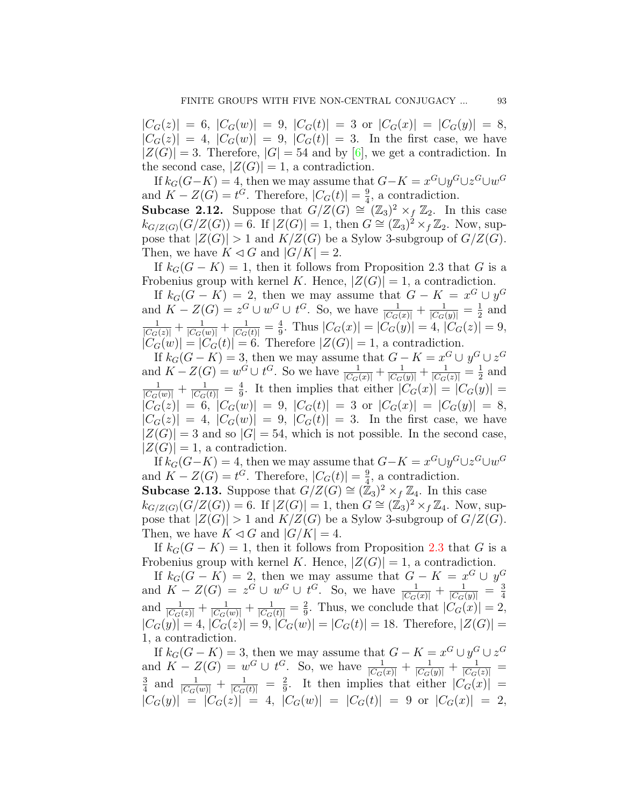$|C_G(z)| = 6$ ,  $|C_G(w)| = 9$ ,  $|C_G(t)| = 3$  or  $|C_G(x)| = |C_G(y)| = 8$ ,  $|C_G(z)| = 4$ ,  $|C_G(w)| = 9$ ,  $|C_G(t)| = 3$ . In the first case, we have  $|Z(G)| = 3$ . Therefore,  $|G| = 54$  and by [[6\]](#page-10-6), we get a contradiction. In the second case,  $|Z(G)| = 1$ , a contradiction.

If  $k_G(G-K) = 4$ , then we may assume that  $G-K = x^G \cup y^G \cup z^G \cup w^G$ and  $K - Z(G) = t^G$ . Therefore,  $|C_G(t)| = \frac{9}{4}$  $\frac{9}{4}$ , a contradiction.

**Subcase 2.12.** Suppose that  $G/Z(G) \cong (\mathbb{Z}_3)^2 \times_f \mathbb{Z}_2$ . In this case  $k_{G/Z(G)}(G/Z(G)) = 6$ . If  $|Z(G)| = 1$ , then  $G \cong (\mathbb{Z}_3)^2 \times f \mathbb{Z}_2$ . Now, suppose that  $|Z(G)| > 1$  and  $K/Z(G)$  be a Sylow 3-subgroup of  $G/Z(G)$ . Then, we have  $K \lhd G$  and  $|G/K| = 2$ .

If  $k_G(G - K) = 1$ , then it follows from Proposition 2.3 that *G* is a Frobenius group with kernel *K*. Hence,  $|Z(G)| = 1$ , a contradiction.

If  $k_G(G - K) = 2$ , then we may assume that  $G - K = x^G \cup y^G$ and  $K - Z(G) = z^G \cup w^G \cup t^G$ . So, we have  $\frac{1}{|C_G(x)|} + \frac{1}{|C_G(y)|} = \frac{1}{2}$  $rac{1}{2}$  and  $\frac{1}{|C_G(z)|} + \frac{1}{|C_G(w)|} + \frac{1}{|C_G(t)|} = \frac{4}{9}$  $\frac{4}{9}$ . Thus  $|C_G(x)| = |C_G(y)| = 4$ ,  $|C_G(z)| = 9$ ,  $|C_G(w)| = |C_G(t)| = 6$ . Therefore  $|Z(G)| = 1$ , a contradiction.

If  $k_G(G - K) = 3$ , then we may assume that  $G - K = x^G \cup y^G \cup z^G$ and  $K - Z(G) = w^G \cup t^G$ . So we have  $\frac{1}{|C_G(x)|} + \frac{1}{|C_G(y)|} + \frac{1}{|C_G(z)|} = \frac{1}{2}$  $\frac{1}{2}$  and  $\frac{1}{|C_G(w)|} + \frac{1}{|C_G(t)|} = \frac{4}{9}$  $\frac{4}{9}$ . It then implies that either  $|C_G(x)| = |C_G(y)| =$  $|C_G(z)| = 6, |C_G(w)| = 9, |C_G(t)| = 3 \text{ or } |C_G(x)| = |C_G(y)| = 8,$  $|C_G(z)| = 4$ ,  $|C_G(w)| = 9$ ,  $|C_G(t)| = 3$ . In the first case, we have  $|Z(G)| = 3$  and so  $|G| = 54$ , which is not possible. In the second case,  $|Z(G)| = 1$ , a contradiction.

If  $k_G(G-K) = 4$ , then we may assume that  $G-K = x^G \cup y^G \cup z^G \cup w^G$ and  $K - Z(G) = t^G$ . Therefore,  $|C_G(t)| = \frac{9}{4}$  $\frac{9}{4}$ , a contradiction. **Subcase 2.13.** Suppose that  $G/Z(G) \cong (\mathbb{Z}_3)^2 \times_f \mathbb{Z}_4$ . In this case  $k_{G/Z(G)}(G/Z(G)) = 6$ . If  $|Z(G)| = 1$ , then  $G \cong (Z_3)^2 \times_f Z_4$ . Now, suppose that  $|Z(G)| > 1$  and  $K/Z(G)$  be a Sylow 3-subgroup of  $G/Z(G)$ .

Then, we have  $K \lhd G$  and  $|G/K| = 4$ . If  $k_G(G - K) = 1$ , then it follows from Proposition [2.3](#page-2-1) that *G* is a Frobenius group with kernel *K*. Hence,  $|Z(G)| = 1$ , a contradiction.

If  $k_G(G - K) = 2$ , then we may assume that  $G - K = x^G \cup y^G$ and  $K - Z(G) = z^G \cup w^G \cup t^G$ . So, we have  $\frac{1}{|C_G(x)|} + \frac{1}{|C_G(y)|} = \frac{3}{4}$ 4 and  $\frac{1}{|C_G(z)|} + \frac{1}{|C_G(w)|} + \frac{1}{|C_G(t)|} = \frac{2}{9}$  $\frac{2}{9}$ . Thus, we conclude that  $|C_G(x)| = 2$ ,  $|C_G(y)| = 4, |C_G(z)| = 9, |C_G(w)| = |C_G(t)| = 18.$  Therefore,  $|Z(G)| =$ 1, a contradiction.

If  $k_G(G - K) = 3$ , then we may assume that  $G - K = x^G \cup y^G \cup z^G$ and  $K - Z(G) = w^G \cup t^G$ . So, we have  $\frac{1}{|C_G(x)|} + \frac{1}{|C_G(y)|} + \frac{1}{|C_G(z)|} = \frac{3}{2}$  and  $\frac{1}{|C_G(x)|} + \frac{1}{|C_G(x)|} = \frac{2}{2}$ . It then implies that either  $|C_G(x)| =$  $\frac{3}{4}$  and  $\frac{1}{|C_G(w)|} + \frac{1}{|C_G(t)|} = \frac{2}{9}$  $\frac{2}{9}$ . It then implies that either  $|C_G(x)| =$  $|C_G(y)| = |C_G(z)| = 4$ ,  $|C_G(w)| = |C_G(t)| = 9$  or  $|C_G(x)| = 2$ ,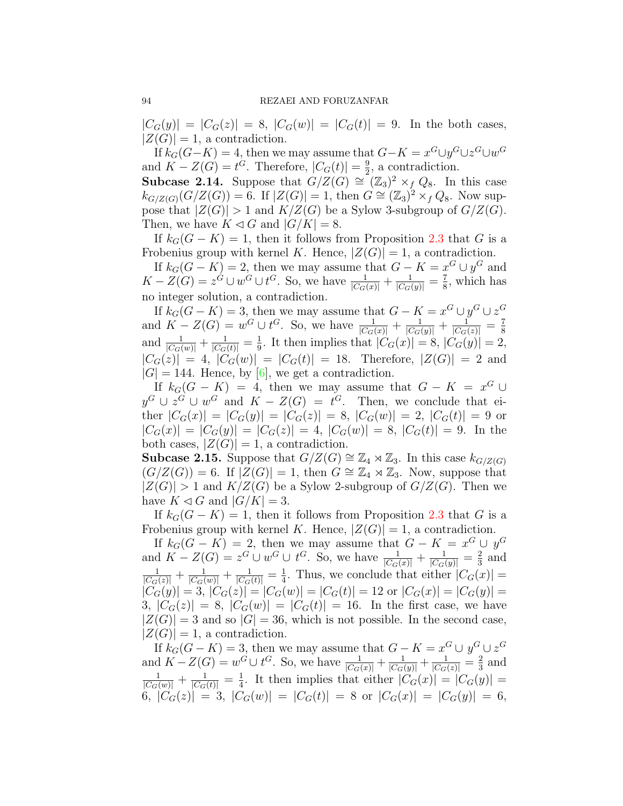$|C_G(y)| = |C_G(z)| = 8$ ,  $|C_G(w)| = |C_G(t)| = 9$ . In the both cases,  $|Z(G)| = 1$ , a contradiction.

If  $k_G(G-K) = 4$ , then we may assume that  $G-K = x^G \cup y^G \cup z^G \cup w^G$ and  $K - Z(G) = t^G$ . Therefore,  $|C_G(t)| = \frac{9}{2}$  $\frac{9}{2}$ , a contradiction.

**Subcase 2.14.** Suppose that  $G/Z(G) \cong (\mathbb{Z}_3)^2 \times_f Q_8$ . In this case  $k_{G/Z(G)}(G/Z(G)) = 6$ . If  $|Z(G)| = 1$ , then  $G \cong (Z_3)^2 \times f Q_8$ . Now suppose that  $|Z(G)| > 1$  and  $K/Z(G)$  be a Sylow 3-subgroup of  $G/Z(G)$ . Then, we have  $K \lhd G$  and  $|G/K| = 8$ .

If  $k_G(G - K) = 1$ , then it follows from Proposition [2.3](#page-2-1) that *G* is a Frobenius group with kernel *K*. Hence,  $|Z(G)| = 1$ , a contradiction.

If  $k_G(G - K) = 2$ , then we may assume that  $G - K = x^G \cup y^G$  and  $K - Z(G) = z^G \cup w^G \cup t^G$ . So, we have  $\frac{1}{|C_G(x)|} + \frac{1}{|C_G(y)|} = \frac{7}{8}$  $\frac{7}{8}$ , which has no integer solution, a contradiction.

If  $k_G(G - K) = 3$ , then we may assume that  $G - K = x^G \cup y^G \cup z^G$ and  $K - Z(G) = w^G \cup t^G$ . So, we have  $\frac{1}{|C_G(x)|} + \frac{1}{|C_G(y)|} + \frac{1}{|C_G(z)|} = \frac{7}{8}$ 8 and  $\frac{1}{|C_G(w)|} + \frac{1}{|C_G(t)|} = \frac{1}{9}$  $\frac{1}{9}$ . It then implies that  $|C_G(x)| = 8$ ,  $|C_G(y)| = 2$ ,  $|C_G(z)| = 4$ ,  $|C_G(w)| = |C_G(t)| = 18$ . Therefore,  $|Z(G)| = 2$  and  $|G| = 144$ . Hence, by  $[6]$  $[6]$ , we get a contradiction.

If  $k_G(G - K) = 4$ , then we may assume that  $G - K = x^G \cup$ *y*<sup>*G*</sup> ∪ *z*<sup>*G*</sup> ∪ *w*<sup>*G*</sup> and *K* − *Z*(*G*) = *t*<sup>*G*</sup>. Then, we conclude that either  $|C_G(x)| = |C_G(y)| = |C_G(z)| = 8$ ,  $|C_G(w)| = 2$ ,  $|C_G(t)| = 9$  or  $|C_G(x)| = |C_G(y)| = |C_G(z)| = 4$ ,  $|C_G(w)| = 8$ ,  $|C_G(t)| = 9$ . In the both cases,  $|Z(G)| = 1$ , a contradiction.

**Subcase 2.15.** Suppose that *G/Z*(*G*)  $\cong \mathbb{Z}_4 \rtimes \mathbb{Z}_3$ . In this case *k<sub>G/Z(G)</sub>*  $(G/Z(G)) = 6$ . If  $|Z(G)| = 1$ , then  $G \cong \mathbb{Z}_4 \rtimes \mathbb{Z}_3$ . Now, suppose that  $|Z(G)| > 1$  and  $K/Z(G)$  be a Sylow 2-subgroup of  $G/Z(G)$ . Then we have  $K \triangleleft G$  and  $|G/K| = 3$ .

If  $k_G(G - K) = 1$ , then it follows from Proposition [2.3](#page-2-1) that *G* is a Frobenius group with kernel *K*. Hence,  $|Z(G)| = 1$ , a contradiction.

If  $k_G(G - K) = 2$ , then we may assume that  $G - K = x^G \cup y^G$ and  $K - Z(G) = z^G \cup w^G \cup t^G$ . So, we have  $\frac{1}{|C_G(x)|} + \frac{1}{|C_G(y)|} = \frac{2}{3}$  $rac{2}{3}$  and  $\frac{1}{|C_G(z)|} + \frac{1}{|C_G(w)|} + \frac{1}{|C_G(t)|} = \frac{1}{4}$  $\frac{1}{4}$ . Thus, we conclude that either  $|C_G(x)| =$  $|\tilde{C}_G(y)| = 3, |C_G(z)| = |C_G(w)| = |C_G(t)| = 12 \text{ or } |C_G(x)| = |C_G(y)| =$ 3,  $|C_G(z)| = 8$ ,  $|C_G(w)| = |C_G(t)| = 16$ . In the first case, we have  $|Z(G)| = 3$  and so  $|G| = 36$ , which is not possible. In the second case,  $|Z(G)| = 1$ , a contradiction.

If  $k_G(G - K) = 3$ , then we may assume that  $G - K = x^G \cup y^G \cup z^G$ and  $K - Z(G) = w^G \cup t^G$ . So, we have  $\frac{1}{|C_G(x)|} + \frac{1}{|C_G(y)|} + \frac{1}{|C_G(z)|} = \frac{2}{3}$  $rac{2}{3}$  and  $\frac{1}{|C_G(w)|} + \frac{1}{|C_G(t)|} = \frac{1}{4}$  $\frac{1}{4}$ . It then implies that either  $|C_G(x)| = |C_G(y)| =$ 6,  $|C_G(z)| = 3$ ,  $|C_G(w)| = |C_G(t)| = 8$  or  $|C_G(x)| = |C_G(y)| = 6$ ,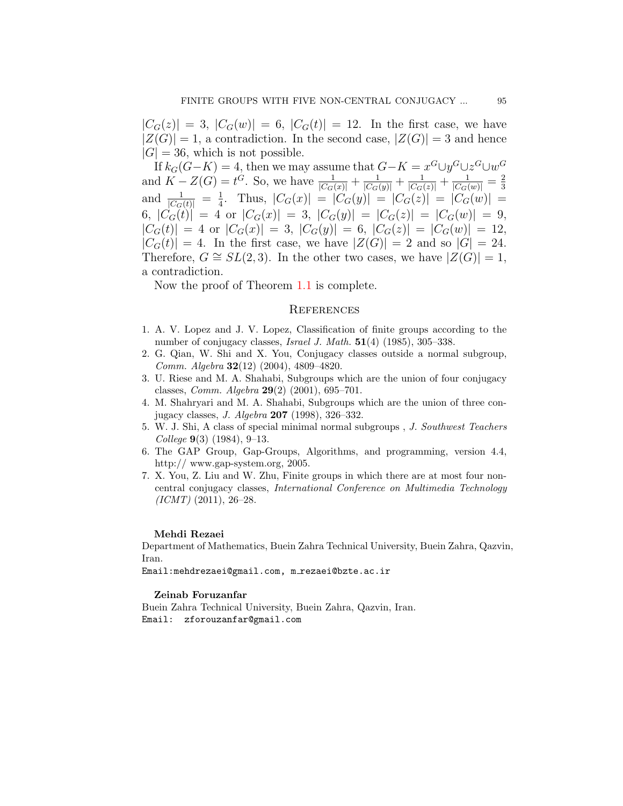$|C_G(z)| = 3$ ,  $|C_G(w)| = 6$ ,  $|C_G(t)| = 12$ . In the first case, we have  $|Z(G)| = 1$ , a contradiction. In the second case,  $|Z(G)| = 3$  and hence  $|G| = 36$ , which is not possible.

If  $k_G(G-K) = 4$ , then we may assume that  $G-K = x^G \cup y^G \cup z^G \cup w^G$ and  $K - Z(G) = t^G$ . So, we have  $\frac{1}{|C_G(x)|} + \frac{1}{|C_G(y)|} + \frac{1}{|C_G(z)|} + \frac{1}{|C_G(w)|} = \frac{2}{3}$ 3 and  $\frac{1}{|C_G(t)|} = \frac{1}{4}$  $\frac{1}{4}$ . Thus,  $|C_G(x)| = |C_G(y)| = |C_G(z)| = |C_G(w)| =$ 6,  $|C_G(t)| = 4$  or  $|C_G(x)| = 3$ ,  $|C_G(y)| = |C_G(z)| = |C_G(w)| = 9$ ,  $|C_G(t)| = 4$  or  $|C_G(x)| = 3$ ,  $|C_G(y)| = 6$ ,  $|C_G(z)| = |C_G(w)| = 12$ ,  $|C_G(t)| = 4$ . In the first case, we have  $|Z(G)| = 2$  and so  $|G| = 24$ . Therefore,  $G \cong SL(2,3)$ . In the other two cases, we have  $|Z(G)| = 1$ , a contradiction.

Now the proof of Theorem [1.1](#page-1-2) is complete.

### **REFERENCES**

- <span id="page-10-5"></span>1. A. V. Lopez and J. V. Lopez, Classification of finite groups according to the number of conjugacy classes, *Israel J. Math.* **51**(4) (1985), 305–338.
- <span id="page-10-3"></span>2. G. Qian, W. Shi and X. You, Conjugacy classes outside a normal subgroup, *Comm. Algebra* **32**(12) (2004), 4809–4820.
- <span id="page-10-2"></span>3. U. Riese and M. A. Shahabi, Subgroups which are the union of four conjugacy classes, *Comm. Algebra* **29**(2) (2001), 695–701.
- <span id="page-10-1"></span>4. M. Shahryari and M. A. Shahabi, Subgroups which are the union of three conjugacy classes, *J. Algebra* **207** (1998), 326–332.
- <span id="page-10-0"></span>5. W. J. Shi, A class of special minimal normal subgroups , *J. Southwest Teachers College* **9**(3) (1984), 9–13.
- <span id="page-10-6"></span>6. The GAP Group, Gap-Groups, Algorithms, and programming, version 4.4, http:// www.gap-system.org, 2005.
- <span id="page-10-4"></span>7. X. You, Z. Liu and W. Zhu, Finite groups in which there are at most four noncentral conjugacy classes, *International Conference on Multimedia Technology (ICMT)* (2011), 26–28.

#### **Mehdi Rezaei**

Department of Mathematics, Buein Zahra Technical University, Buein Zahra, Qazvin, Iran.

Email:mehdrezaei@gmail.com, m\_rezaei@bzte.ac.ir

#### **Zeinab Foruzanfar**

Buein Zahra Technical University, Buein Zahra, Qazvin, Iran. Email: zforouzanfar@gmail.com